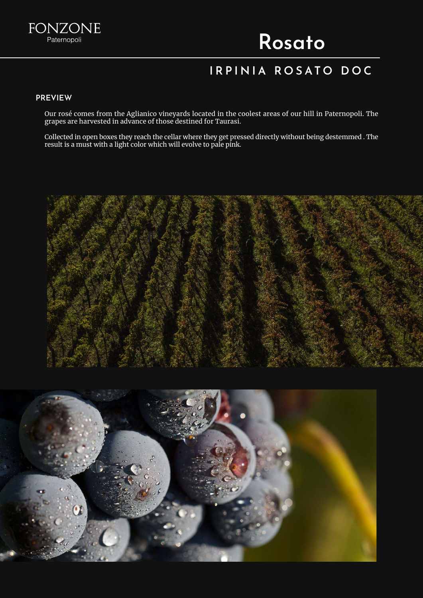

## Rosato

## IRPINIA ROSATO DOC

#### PREVIEW

Our rosé comes from the Aglianico vineyards located in the coolest areas of our hill in Paternopoli. The grapes are harvested in advance of those destined for Taurasi.

Collected in open boxes they reach the cellar where they get pressed directly without being destemmed . The result is a must with a light color which will evolve to pale pink.